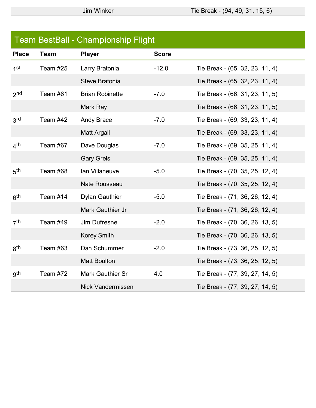|                 | <b>Team BestBall - Championship Flight</b> |                          |              |                                 |  |
|-----------------|--------------------------------------------|--------------------------|--------------|---------------------------------|--|
| <b>Place</b>    | <b>Team</b>                                | <b>Player</b>            | <b>Score</b> |                                 |  |
| 1 <sup>st</sup> | Team #25                                   | Larry Bratonia           | $-12.0$      | Tie Break - (65, 32, 23, 11, 4) |  |
|                 |                                            | Steve Bratonia           |              | Tie Break - (65, 32, 23, 11, 4) |  |
| 2 <sub>nd</sub> | Team #61                                   | <b>Brian Robinette</b>   | $-7.0$       | Tie Break - (66, 31, 23, 11, 5) |  |
|                 |                                            | Mark Ray                 |              | Tie Break - (66, 31, 23, 11, 5) |  |
| 3rd             | Team #42                                   | Andy Brace               | $-7.0$       | Tie Break - (69, 33, 23, 11, 4) |  |
|                 |                                            | <b>Matt Argall</b>       |              | Tie Break - (69, 33, 23, 11, 4) |  |
| 4 <sup>th</sup> | Team #67                                   | Dave Douglas             | $-7.0$       | Tie Break - (69, 35, 25, 11, 4) |  |
|                 |                                            | <b>Gary Greis</b>        |              | Tie Break - (69, 35, 25, 11, 4) |  |
| 5 <sup>th</sup> | Team #68                                   | Ian Villaneuve           | $-5.0$       | Tie Break - (70, 35, 25, 12, 4) |  |
|                 |                                            | <b>Nate Rousseau</b>     |              | Tie Break - (70, 35, 25, 12, 4) |  |
| 6 <sup>th</sup> | Team #14                                   | <b>Dylan Gauthier</b>    | $-5.0$       | Tie Break - (71, 36, 26, 12, 4) |  |
|                 |                                            | Mark Gauthier Jr         |              | Tie Break - (71, 36, 26, 12, 4) |  |
| 7 <sup>th</sup> | Team #49                                   | Jim Dufresne             | $-2.0$       | Tie Break - (70, 36, 26, 13, 5) |  |
|                 |                                            | <b>Korey Smith</b>       |              | Tie Break - (70, 36, 26, 13, 5) |  |
| gth             | Team #63                                   | Dan Schummer             | $-2.0$       | Tie Break - (73, 36, 25, 12, 5) |  |
|                 |                                            | <b>Matt Boulton</b>      |              | Tie Break - (73, 36, 25, 12, 5) |  |
| gth             | Team #72                                   | Mark Gauthier Sr         | 4.0          | Tie Break - (77, 39, 27, 14, 5) |  |
|                 |                                            | <b>Nick Vandermissen</b> |              | Tie Break - (77, 39, 27, 14, 5) |  |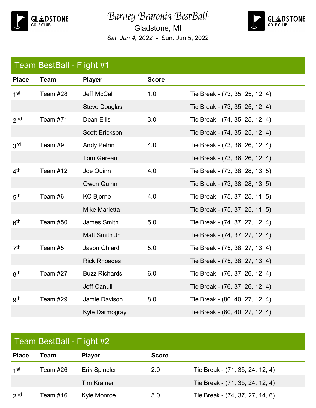

## Barney Bratonia BestBall

Gladstone, MI *Sat. Jun 4, 2022* - Sun. Jun 5, 2022



## Team BestBall - Flight #1

| <b>Place</b>    | <b>Team</b> | <b>Player</b>         | <b>Score</b> |                                 |
|-----------------|-------------|-----------------------|--------------|---------------------------------|
| 1 <sup>st</sup> | Team #28    | Jeff McCall           | 1.0          | Tie Break - (73, 35, 25, 12, 4) |
|                 |             | <b>Steve Douglas</b>  |              | Tie Break - (73, 35, 25, 12, 4) |
| 2 <sub>nd</sub> | Team #71    | Dean Ellis            | 3.0          | Tie Break - (74, 35, 25, 12, 4) |
|                 |             | <b>Scott Erickson</b> |              | Tie Break - (74, 35, 25, 12, 4) |
| 3rd             | Team #9     | <b>Andy Petrin</b>    | 4.0          | Tie Break - (73, 36, 26, 12, 4) |
|                 |             | <b>Tom Gereau</b>     |              | Tie Break - (73, 36, 26, 12, 4) |
| 4 <sup>th</sup> | Team #12    | Joe Quinn             | 4.0          | Tie Break - (73, 38, 28, 13, 5) |
|                 |             | <b>Owen Quinn</b>     |              | Tie Break - (73, 38, 28, 13, 5) |
| 5 <sup>th</sup> | Team #6     | <b>KC Bjorne</b>      | 4.0          | Tie Break - (75, 37, 25, 11, 5) |
|                 |             | <b>Mike Marietta</b>  |              | Tie Break - (75, 37, 25, 11, 5) |
| 6 <sup>th</sup> | Team #50    | James Smith           | 5.0          | Tie Break - (74, 37, 27, 12, 4) |
|                 |             | Matt Smith Jr         |              | Tie Break - (74, 37, 27, 12, 4) |
| 7 <sup>th</sup> | Team #5     | Jason Ghiardi         | 5.0          | Tie Break - (75, 38, 27, 13, 4) |
|                 |             | <b>Rick Rhoades</b>   |              | Tie Break - (75, 38, 27, 13, 4) |
| 8 <sup>th</sup> | Team #27    | <b>Buzz Richards</b>  | 6.0          | Tie Break - (76, 37, 26, 12, 4) |
|                 |             | Jeff Canull           |              | Tie Break - (76, 37, 26, 12, 4) |
| gth             | Team #29    | Jamie Davison         | 8.0          | Tie Break - (80, 40, 27, 12, 4) |
|                 |             | Kyle Darmogray        |              | Tie Break - (80, 40, 27, 12, 4) |

| Team BestBall - Flight #2 |          |                   |              |                                 |
|---------------------------|----------|-------------------|--------------|---------------------------------|
| <b>Place</b>              | Team     | <b>Player</b>     | <b>Score</b> |                                 |
| 1st                       | Team #26 | Erik Spindler     | 2.0          | Tie Break - (71, 35, 24, 12, 4) |
|                           |          | <b>Tim Kramer</b> |              | Tie Break - (71, 35, 24, 12, 4) |
| 2 <sub>nd</sub>           | Team #16 | Kyle Monroe       | 5.0          | Tie Break - (74, 37, 27, 14, 6) |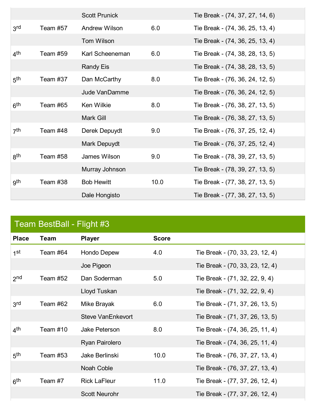|                 |          | <b>Scott Prunick</b> |      | Tie Break - (74, 37, 27, 14, 6) |
|-----------------|----------|----------------------|------|---------------------------------|
| 3 <sup>rd</sup> | Team #57 | <b>Andrew Wilson</b> | 6.0  | Tie Break - (74, 36, 25, 13, 4) |
|                 |          | Tom Wilson           |      | Tie Break - (74, 36, 25, 13, 4) |
| 4 <sup>th</sup> | Team #59 | Karl Scheeneman      | 6.0  | Tie Break - (74, 38, 28, 13, 5) |
|                 |          | <b>Randy Eis</b>     |      | Tie Break - (74, 38, 28, 13, 5) |
| 5 <sup>th</sup> | Team #37 | Dan McCarthy         | 8.0  | Tie Break - (76, 36, 24, 12, 5) |
|                 |          | Jude VanDamme        |      | Tie Break - (76, 36, 24, 12, 5) |
| 6 <sup>th</sup> | Team #65 | <b>Ken Wilkie</b>    | 8.0  | Tie Break - (76, 38, 27, 13, 5) |
|                 |          | Mark Gill            |      | Tie Break - (76, 38, 27, 13, 5) |
| 7 <sup>th</sup> | Team #48 | Derek Depuydt        | 9.0  | Tie Break - (76, 37, 25, 12, 4) |
|                 |          | Mark Depuydt         |      | Tie Break - (76, 37, 25, 12, 4) |
| gth             | Team #58 | James Wilson         | 9.0  | Tie Break - (78, 39, 27, 13, 5) |
|                 |          | Murray Johnson       |      | Tie Break - (78, 39, 27, 13, 5) |
| gth             | Team #38 | <b>Bob Hewitt</b>    | 10.0 | Tie Break - (77, 38, 27, 13, 5) |
|                 |          | Dale Hongisto        |      | Tie Break - (77, 38, 27, 13, 5) |

| Team BestBall - Flight #3 |             |                          |              |                                 |
|---------------------------|-------------|--------------------------|--------------|---------------------------------|
| <b>Place</b>              | <b>Team</b> | <b>Player</b>            | <b>Score</b> |                                 |
| 1st                       | Team #64    | <b>Hondo Depew</b>       | 4.0          | Tie Break - (70, 33, 23, 12, 4) |
|                           |             | Joe Pigeon               |              | Tie Break - (70, 33, 23, 12, 4) |
| 2 <sub>nd</sub>           | Team $#52$  | Dan Soderman             | 5.0          | Tie Break - (71, 32, 22, 9, 4)  |
|                           |             | Lloyd Tuskan             |              | Tie Break - (71, 32, 22, 9, 4)  |
| 3 <sup>rd</sup>           | Team #62    | Mike Brayak              | 6.0          | Tie Break - (71, 37, 26, 13, 5) |
|                           |             | <b>Steve VanEnkevort</b> |              | Tie Break - (71, 37, 26, 13, 5) |
| 4 <sup>th</sup>           | Team #10    | Jake Peterson            | 8.0          | Tie Break - (74, 36, 25, 11, 4) |
|                           |             | Ryan Pairolero           |              | Tie Break - (74, 36, 25, 11, 4) |
| 5 <sup>th</sup>           | Team #53    | Jake Berlinski           | 10.0         | Tie Break - (76, 37, 27, 13, 4) |
|                           |             | Noah Coble               |              | Tie Break - (76, 37, 27, 13, 4) |
| 6 <sup>th</sup>           | Team #7     | <b>Rick LaFleur</b>      | 11.0         | Tie Break - (77, 37, 26, 12, 4) |
|                           |             | <b>Scott Neurohr</b>     |              | Tie Break - (77, 37, 26, 12, 4) |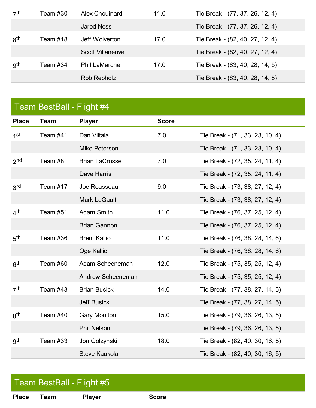| 7 <sup>th</sup> | Team #30 | <b>Alex Chouinard</b>   | 11.0 | Tie Break - (77, 37, 26, 12, 4) |
|-----------------|----------|-------------------------|------|---------------------------------|
|                 |          | <b>Jared Ness</b>       |      | Tie Break - (77, 37, 26, 12, 4) |
| gth             | Team #18 | Jeff Wolverton          | 17.0 | Tie Break - (82, 40, 27, 12, 4) |
|                 |          | <b>Scott Villaneuve</b> |      | Tie Break - (82, 40, 27, 12, 4) |
| gth             | Team #34 | <b>Phil LaMarche</b>    | 17.0 | Tie Break - (83, 40, 28, 14, 5) |
|                 |          | Rob Rebholz             |      | Tie Break - (83, 40, 28, 14, 5) |

| Team BestBall - Flight #4 |  |
|---------------------------|--|
|                           |  |

| <b>Place</b>    | <b>Team</b> | <b>Player</b>         | <b>Score</b> |                                 |
|-----------------|-------------|-----------------------|--------------|---------------------------------|
| 1 <sup>st</sup> | Team #41    | Dan Viitala           | 7.0          | Tie Break - (71, 33, 23, 10, 4) |
|                 |             | Mike Peterson         |              | Tie Break - (71, 33, 23, 10, 4) |
| 2 <sub>nd</sub> | Team #8     | <b>Brian LaCrosse</b> | 7.0          | Tie Break - (72, 35, 24, 11, 4) |
|                 |             | Dave Harris           |              | Tie Break - (72, 35, 24, 11, 4) |
| 3rd             | Team #17    | Joe Rousseau          | 9.0          | Tie Break - (73, 38, 27, 12, 4) |
|                 |             | Mark LeGault          |              | Tie Break - (73, 38, 27, 12, 4) |
| 4 <sup>th</sup> | Team #51    | <b>Adam Smith</b>     | 11.0         | Tie Break - (76, 37, 25, 12, 4) |
|                 |             | <b>Brian Gannon</b>   |              | Tie Break - (76, 37, 25, 12, 4) |
| 5 <sup>th</sup> | Team #36    | <b>Brent Kallio</b>   | 11.0         | Tie Break - (76, 38, 28, 14, 6) |
|                 |             | Oge Kallio            |              | Tie Break - (76, 38, 28, 14, 6) |
| 6 <sup>th</sup> | Team #60    | Adam Scheeneman       | 12.0         | Tie Break - (75, 35, 25, 12, 4) |
|                 |             | Andrew Scheeneman     |              | Tie Break - (75, 35, 25, 12, 4) |
| 7 <sup>th</sup> | Team #43    | <b>Brian Busick</b>   | 14.0         | Tie Break - (77, 38, 27, 14, 5) |
|                 |             | <b>Jeff Busick</b>    |              | Tie Break - (77, 38, 27, 14, 5) |
| 8 <sup>th</sup> | Team #40    | <b>Gary Moulton</b>   | 15.0         | Tie Break - (79, 36, 26, 13, 5) |
|                 |             | <b>Phil Nelson</b>    |              | Tie Break - (79, 36, 26, 13, 5) |
| gth             | Team #33    | Jon Golzynski         | 18.0         | Tie Break - (82, 40, 30, 16, 5) |
|                 |             | <b>Steve Kaukola</b>  |              | Tie Break - (82, 40, 30, 16, 5) |

## Team BestBall - Flight #5

**Place Team Player Score**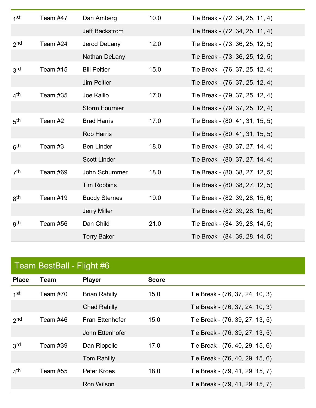| 1 <sup>st</sup> | Team #47 | Dan Amberg            | 10.0 | Tie Break - (72, 34, 25, 11, 4) |
|-----------------|----------|-----------------------|------|---------------------------------|
|                 |          | Jeff Backstrom        |      | Tie Break - (72, 34, 25, 11, 4) |
| 2 <sub>nd</sub> | Team #24 | Jerod DeLany          | 12.0 | Tie Break - (73, 36, 25, 12, 5) |
|                 |          | Nathan DeLany         |      | Tie Break - (73, 36, 25, 12, 5) |
| 3 <sup>rd</sup> | Team #15 | <b>Bill Peltier</b>   | 15.0 | Tie Break - (76, 37, 25, 12, 4) |
|                 |          | <b>Jim Peltier</b>    |      | Tie Break - (76, 37, 25, 12, 4) |
| 4 <sup>th</sup> | Team #35 | Joe Kallio            | 17.0 | Tie Break - (79, 37, 25, 12, 4) |
|                 |          | <b>Storm Fournier</b> |      | Tie Break - (79, 37, 25, 12, 4) |
| 5 <sup>th</sup> | Team #2  | <b>Brad Harris</b>    | 17.0 | Tie Break - (80, 41, 31, 15, 5) |
|                 |          | <b>Rob Harris</b>     |      | Tie Break - (80, 41, 31, 15, 5) |
| 6 <sup>th</sup> | Team #3  | <b>Ben Linder</b>     | 18.0 | Tie Break - (80, 37, 27, 14, 4) |
|                 |          | <b>Scott Linder</b>   |      | Tie Break - (80, 37, 27, 14, 4) |
| 7 <sup>th</sup> | Team #69 | John Schummer         | 18.0 | Tie Break - (80, 38, 27, 12, 5) |
|                 |          | <b>Tim Robbins</b>    |      | Tie Break - (80, 38, 27, 12, 5) |
| gth             | Team #19 | <b>Buddy Sternes</b>  | 19.0 | Tie Break - (82, 39, 28, 15, 6) |
|                 |          | Jerry Miller          |      | Tie Break - (82, 39, 28, 15, 6) |
| gth             | Team #56 | Dan Child             | 21.0 | Tie Break - (84, 39, 28, 14, 5) |
|                 |          | <b>Terry Baker</b>    |      | Tie Break - (84, 39, 28, 14, 5) |

## Team BestBall - Flight #6

| <b>Place</b>    | Team     | <b>Player</b>        | <b>Score</b> |                                 |
|-----------------|----------|----------------------|--------------|---------------------------------|
| 1st             | Team #70 | <b>Brian Rahilly</b> | 15.0         | Tie Break - (76, 37, 24, 10, 3) |
|                 |          | <b>Chad Rahilly</b>  |              | Tie Break - (76, 37, 24, 10, 3) |
| 2 <sub>nd</sub> | Team #46 | Fran Ettenhofer      | 15.0         | Tie Break - (76, 39, 27, 13, 5) |
|                 |          | John Ettenhofer      |              | Tie Break - (76, 39, 27, 13, 5) |
| 3rd             | Team #39 | Dan Riopelle         | 17.0         | Tie Break - (76, 40, 29, 15, 6) |
|                 |          | Tom Rahilly          |              | Tie Break - (76, 40, 29, 15, 6) |
| 4 <sup>th</sup> | Team #55 | Peter Kroes          | 18.0         | Tie Break - (79, 41, 29, 15, 7) |
|                 |          | Ron Wilson           |              | Tie Break - (79, 41, 29, 15, 7) |